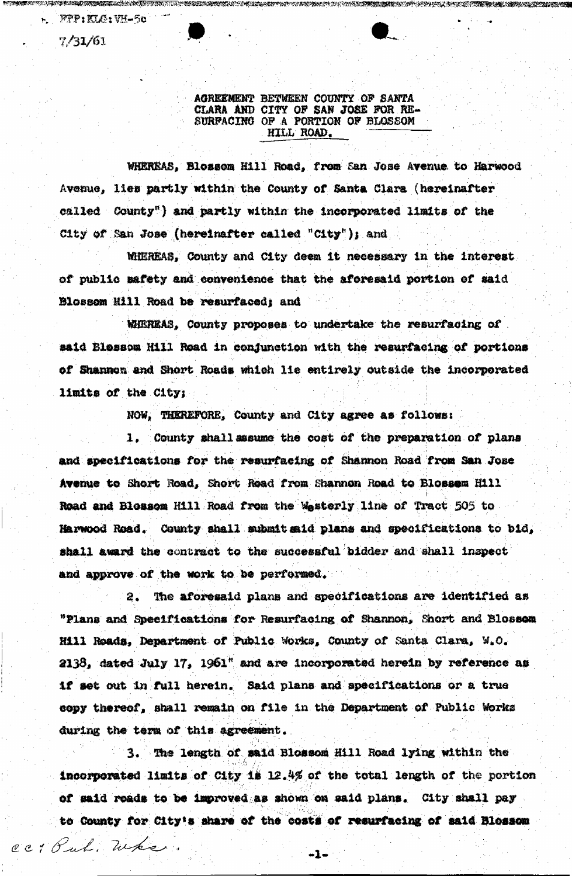r. FPP: KLG: VH-50

cc: But, When.

 $7/31/61$ 

**WORRENT NEWFORTS** 

AGREEMENT BETWEEN COUNTY OF SANTA CLARA AND CITY OF SAN JOSE FOR RE-SURFACING OF A PORTION OF BLOSSOM HILL ROAD.

ELASUMINGAN KAN TETUNG ESTAPUN KELIKAN CUKALUMAN KELIKAN KELIKAN TURUT KELIKAN KELAN KELIKAN TETUNGKAN KELIKAN

WHEREAS, Blossom Hill Road, from San Jose Avenue to Harwood Avenue, lies partly within the County of Santa Clara (hereinafter called County") and partly within the incorporated limits of the City of San Jose (hereinafter called "City"); and

MIEREAS, County and City deem it necessary in the interest of public safety and convenience that the aforesaid portion of said Blossom Hill Road be resurfaced; and

MHREAS, County proposes to undertake the resurfacing of said Blessom Hill Road in conjunction with the resurfacing of portions of Shannon and Short Roads which lie entirely outside the incorporated limits of the City;

NOW, THEREFORE, County and City agree as follows:

1. County shall assume the cost of the preparation of plans and specifications for the resurfacing of Shannon Road from San Jose Avenue to Short Road, Short Road from Shannon Road to Blossem Hill Road and Blossom Hill Road from the Wasterly line of Tract 505 to Harwood Road. County shall submit said plans and specifications to bid, shall award the contract to the successful bidder and shall inspect and approve of the work to be performed.

The aforesaid plans and specifications are identified as  $2.1$ "Plans and Speeifications for Resurfacing of Shannon, Short and Blossom Hill Roads, Department of Public Works, County of Santa Clara, W.O. 2138, dated July 17, 1961" and are incorporated herein by reference as if set out in full herein. Said plans and specifications or a true copy thereof, shall remain on file in the Department of Public Works during the term of this agreement.

3. The length of said Blossom Hill Road lying within the incorporated limits of City is 12.4% of the total length of the portion of said roads to be improved as shown on said plans. City shall pay to County for City's share of the costs of resurfacing of said Blossom

 $-1-$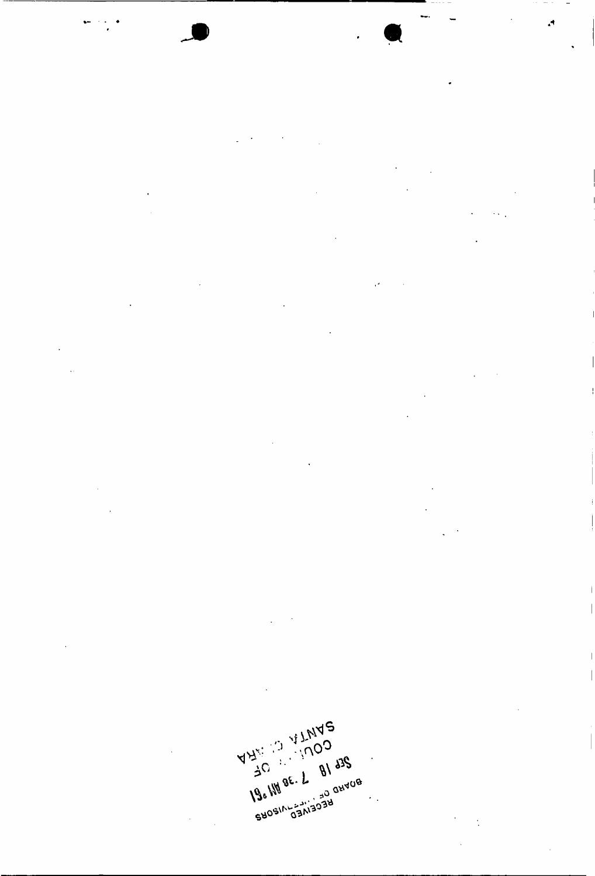ANYS (3 VILINDO) SHOSINGSM303H  $\langle \cdot \rangle$  $\mathcal{L}_{\mathcal{A}}$ 

 $\mathring{\|}$ 

 $\begin{array}{c} \hline \end{array}$ 

 $\mathcal{A}$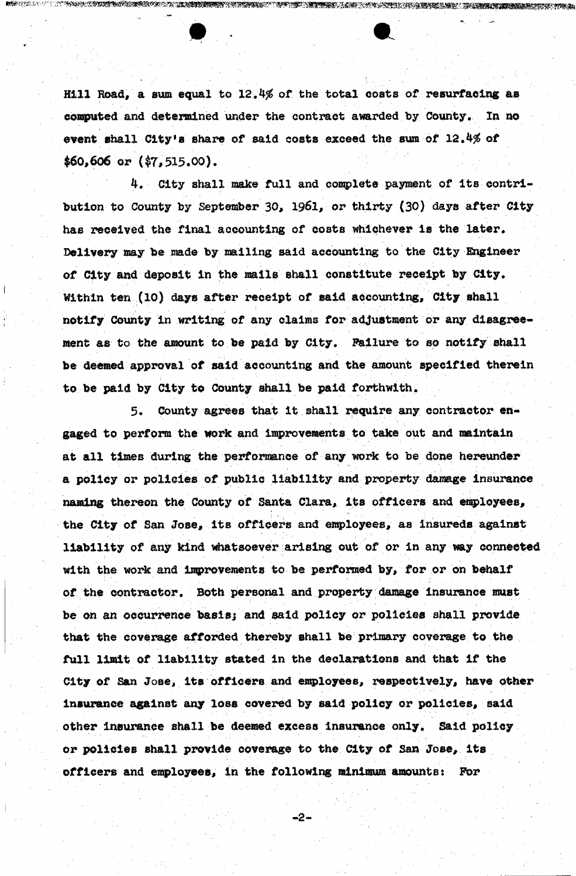Hill Road, a sum equal to 12.4% of the total costs of resurfacing as computed and determined under the contract awarded by County. In no event shall City's share of said costs exceed the sum of  $12.4%$  of  $$60,606$  or  $($7,515.00)$ .

IIAN KATA KATA MANGUNIA KATA KATA NG KATA NA KATA NA KATA NG KATA NG KATA NG KATA NG KATA NA KATA NA KATA NA K

<u>STORIAL AND THE STATE OF THE ALL PROPERTY OF THE ALL PROPERTY OF THE ALL PROPERTY OF THE ALL PROPERTY OF THE </u>

4. City shall make full and complete payment of its contribution to County by September 30, 1961, or thirty (30) days after City has received the final accounting of costs whichever is the later. Delivery may be made by mailing said accounting to the City Engineer of City and deposit in the mails shall constitute receipt by City. Within ten (10) days after receipt of said accounting, City shall notify County in writing of any claims for adjustment or any disagreement as to the amount to be paid by City. Failure to so notify shall be deemed approval of said accounting and the amount specified therein to be paid by City to County shall be paid forthwith.

5. County agrees that it shall require any contractor engaged to perform the work and improvements to take out and maintain at all times during the performance of any work to be done hereunder a policy or policies of public liability and property damage insurance naming thereon the County of Santa Clara, its officers and employees, the City of San Jose, its officers and employees, as insureds against liability of any kind whatsoever arising out of or in any way connected with the work and improvements to be performed by, for or on behalf of the contractor. Both personal and property damage insurance must be on an occurrence baeisj and said policy or policies shall provide that the coverage afforded thereby shall be primary coverage to the full limit of liability stated in the declarations and that if the City of San Jose, its officers and employees, respectively, have other insurance against any loss covered by said policy or policies, said other insurance shall be deemed excess insurance only. Said policy or policies shall provide coverage to the City of San Jose, its officers and employees, in the following minimum amounts: For

**i • " - • ' • • '** 

**- 2 - •**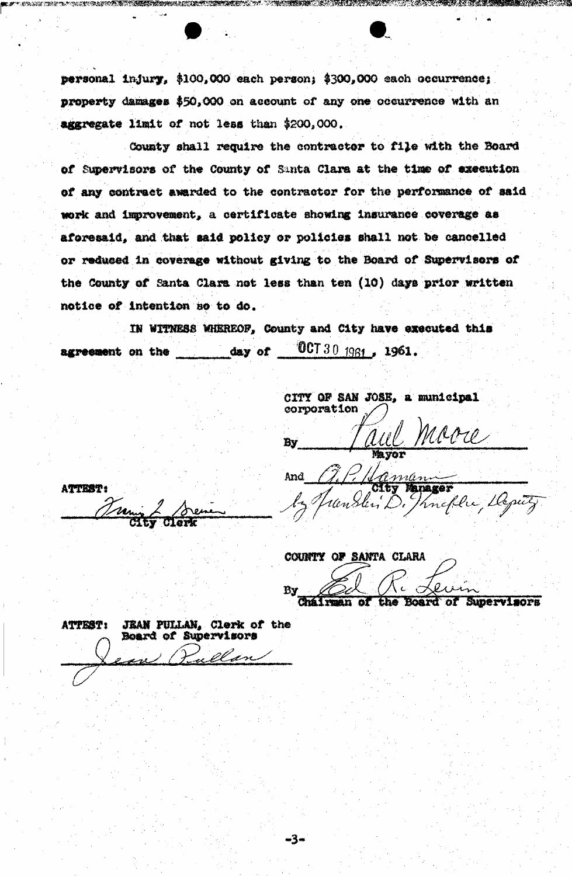personal injury, \$100,000 each person; \$300,000 each occurrence; property damages \$50,000 on account of any one occurrence with an aggregate limit of not less than \$200,000.

County shall require the contractor to file with the Board of Supervisors of the County of Santa Clara at the time of execution. of any contract awarded to the contractor for the performance of said work and improvement, a certificate showing insurance coverage as aforesaid, and that said policy or policies shall not be cancelled or reduced in coverage without giving to the Board of Supervisors of the County of Santa Clara not less than ten (10) days prior written notice of intention so to do.

IN WITNESS WHEREOF, County and City have executed this  $0$ CT 30  $1961$ , 1961.  $day$  of agreement on the

-3-

CITY OF SAN JOSE, a municipal corporation Êу

ATTEST: m

11 aman And Manager neflu tloputy.

COUNTY OF SANTA CLARA **Ev** Chairman the Board of Supervisors ъF

**JEAN PULLAN, Clerk of the** ATTEST: Board of Supervisors ullan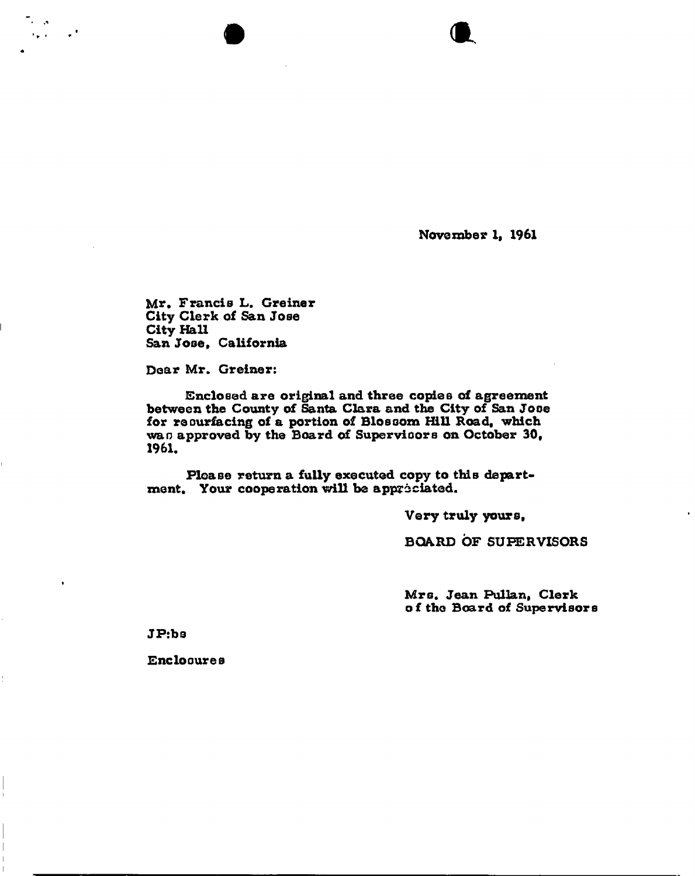**November 1, 1961** 

*m .* 

**Mr, Francis L. Greiner City Clerk of San Jose City Hall San Jose, California** 

**Dear Mr. Greiner:** 

**Contract** 

**Enclosed are original and three copies of agreement**  between the County of Santa Clara and the City of San Jose **for resurfacing of a portion of Blossom Hill Road, which wan approved by the Board of Supervisors on October 30<sup>f</sup> 1961.** 

**Please return a fully executed copy to this department, Your cooperation will be appreciated.** 

**Very truly yours,** 

**BOARD OF SUPERVISORS** 

**Mrs. Jean Pullan, Clerk of the Board of Supervisors** 

**JP:bs** 

**Enclosures**